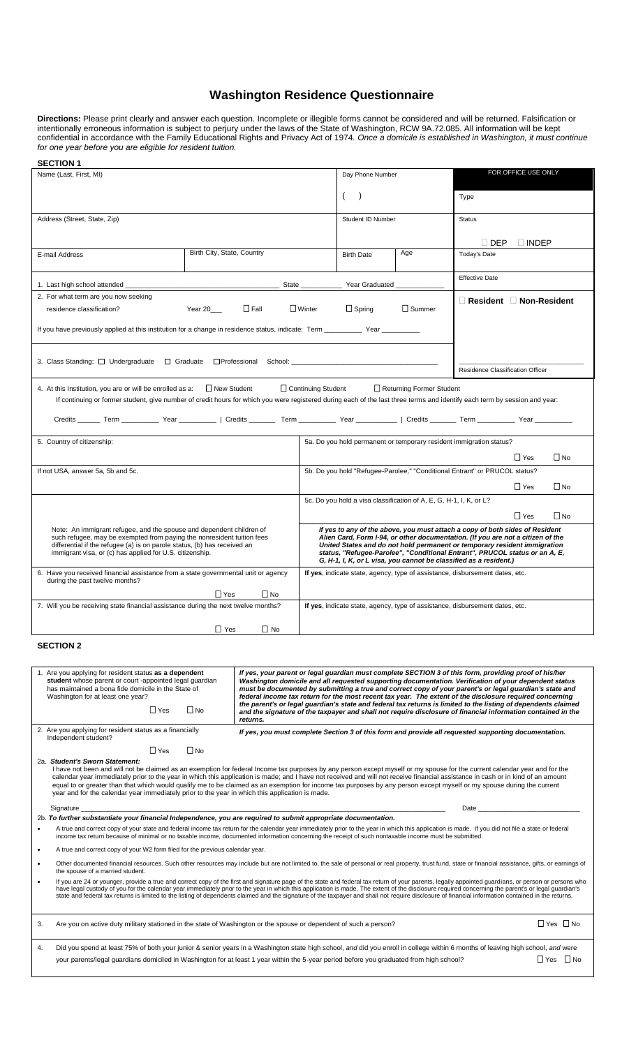## **Washington Residence Questionnaire**

**Directions:** Please print clearly and answer each question. Incomplete or illegible forms cannot be considered and will be returned. Falsification or intentionally erroneous information is subject to perjury under the laws of the State of Washington, RCW 9A.72.085. All information will be kept confidential in accordance with the Family Educational Rights and Privacy Act of 1974. *Once a domicile is established in Washington, it must continue for one year before you are eligible for resident tuition.*

| <b>SECTION 1</b>                                                                                                                                                                                                                                                                                                                                                                                                        |                            |                                                                                                                                                                                                                                |                     |                                                                                                                                                              |               |                                     |              |                      |  |  |
|-------------------------------------------------------------------------------------------------------------------------------------------------------------------------------------------------------------------------------------------------------------------------------------------------------------------------------------------------------------------------------------------------------------------------|----------------------------|--------------------------------------------------------------------------------------------------------------------------------------------------------------------------------------------------------------------------------|---------------------|--------------------------------------------------------------------------------------------------------------------------------------------------------------|---------------|-------------------------------------|--------------|----------------------|--|--|
| Name (Last, First, MI)                                                                                                                                                                                                                                                                                                                                                                                                  |                            | Day Phone Number                                                                                                                                                                                                               | FOR OFFICE USE ONLY |                                                                                                                                                              |               |                                     |              |                      |  |  |
|                                                                                                                                                                                                                                                                                                                                                                                                                         |                            |                                                                                                                                                                                                                                |                     | $\lambda$                                                                                                                                                    |               | Type                                |              |                      |  |  |
| Address (Street, State, Zip)                                                                                                                                                                                                                                                                                                                                                                                            |                            |                                                                                                                                                                                                                                |                     | Student ID Number                                                                                                                                            |               | <b>Status</b>                       |              |                      |  |  |
|                                                                                                                                                                                                                                                                                                                                                                                                                         |                            |                                                                                                                                                                                                                                |                     |                                                                                                                                                              |               |                                     |              |                      |  |  |
|                                                                                                                                                                                                                                                                                                                                                                                                                         | Birth City, State, Country |                                                                                                                                                                                                                                |                     |                                                                                                                                                              | Age           | $\sqcup$ DEP                        | $\Box$ INDEP |                      |  |  |
| E-mail Address                                                                                                                                                                                                                                                                                                                                                                                                          |                            |                                                                                                                                                                                                                                |                     | <b>Birth Date</b>                                                                                                                                            |               | Today's Date                        |              |                      |  |  |
|                                                                                                                                                                                                                                                                                                                                                                                                                         |                            |                                                                                                                                                                                                                                |                     |                                                                                                                                                              |               | <b>Effective Date</b>               |              |                      |  |  |
| 2. For what term are you now seeking                                                                                                                                                                                                                                                                                                                                                                                    |                            |                                                                                                                                                                                                                                |                     |                                                                                                                                                              |               | $\Box$ Resident $\Box$ Non-Resident |              |                      |  |  |
| residence classification?                                                                                                                                                                                                                                                                                                                                                                                               | Year 20___                 | $\Box$ Fall                                                                                                                                                                                                                    | $\Box$ Winter       | $\Box$ Spring                                                                                                                                                | $\Box$ Summer |                                     |              |                      |  |  |
| If you have previously applied at this institution for a change in residence status, indicate: Term _________ Year _________                                                                                                                                                                                                                                                                                            |                            |                                                                                                                                                                                                                                |                     |                                                                                                                                                              |               |                                     |              |                      |  |  |
|                                                                                                                                                                                                                                                                                                                                                                                                                         |                            |                                                                                                                                                                                                                                |                     |                                                                                                                                                              |               |                                     |              |                      |  |  |
|                                                                                                                                                                                                                                                                                                                                                                                                                         |                            |                                                                                                                                                                                                                                |                     |                                                                                                                                                              |               |                                     |              |                      |  |  |
|                                                                                                                                                                                                                                                                                                                                                                                                                         |                            |                                                                                                                                                                                                                                |                     |                                                                                                                                                              |               | Residence Classification Officer    |              |                      |  |  |
| 4. At this Institution, you are or will be enrolled as a: $\Box$ New Student<br>Continuing Student<br>Returning Former Student<br>If continuing or former student, give number of credit hours for which you were registered during each of the last three terms and identify each term by session and year:                                                                                                            |                            |                                                                                                                                                                                                                                |                     |                                                                                                                                                              |               |                                     |              |                      |  |  |
| Credits ______ Term ___________ Year __________   Credits _______ Term __________ Year _____________   Credits ______ Term __________ Year ___________                                                                                                                                                                                                                                                                  |                            |                                                                                                                                                                                                                                |                     |                                                                                                                                                              |               |                                     |              |                      |  |  |
| 5. Country of citizenship:                                                                                                                                                                                                                                                                                                                                                                                              |                            |                                                                                                                                                                                                                                |                     | 5a. Do you hold permanent or temporary resident immigration status?                                                                                          |               |                                     |              |                      |  |  |
|                                                                                                                                                                                                                                                                                                                                                                                                                         |                            |                                                                                                                                                                                                                                |                     |                                                                                                                                                              |               |                                     |              |                      |  |  |
| If not USA, answer 5a, 5b and 5c.                                                                                                                                                                                                                                                                                                                                                                                       |                            |                                                                                                                                                                                                                                |                     | $\Box$ No<br>$\sqcup$ Yes<br>5b. Do you hold "Refugee-Parolee," "Conditional Entrant" or PRUCOL status?                                                      |               |                                     |              |                      |  |  |
|                                                                                                                                                                                                                                                                                                                                                                                                                         |                            |                                                                                                                                                                                                                                |                     |                                                                                                                                                              |               |                                     | $\Box$ Yes   | $\Box$ No            |  |  |
|                                                                                                                                                                                                                                                                                                                                                                                                                         |                            |                                                                                                                                                                                                                                |                     | 5c. Do you hold a visa classification of A, E, G, H-1, I, K, or L?                                                                                           |               |                                     |              |                      |  |  |
|                                                                                                                                                                                                                                                                                                                                                                                                                         |                            |                                                                                                                                                                                                                                |                     |                                                                                                                                                              |               |                                     | $\Box$ Yes   | $\Box$ No            |  |  |
| Note: An immigrant refugee, and the spouse and dependent children of                                                                                                                                                                                                                                                                                                                                                    |                            |                                                                                                                                                                                                                                |                     | If yes to any of the above, you must attach a copy of both sides of Resident                                                                                 |               |                                     |              |                      |  |  |
| such refugee, may be exempted from paying the nonresident tuition fees<br>differential if the refugee (a) is on parole status, (b) has received an                                                                                                                                                                                                                                                                      |                            |                                                                                                                                                                                                                                |                     | Alien Card, Form I-94, or other documentation. (If you are not a citizen of the<br>United States and do not hold permanent or temporary resident immigration |               |                                     |              |                      |  |  |
| immigrant visa, or (c) has applied for U.S. citizenship.                                                                                                                                                                                                                                                                                                                                                                |                            | status, "Refugee-Parolee", "Conditional Entrant", PRUCOL status or an A, E,<br>G, H-1, I, K, or L visa, you cannot be classified as a resident.)                                                                               |                     |                                                                                                                                                              |               |                                     |              |                      |  |  |
| If yes, indicate state, agency, type of assistance, disbursement dates, etc.<br>6. Have you received financial assistance from a state governmental unit or agency<br>during the past twelve months?                                                                                                                                                                                                                    |                            |                                                                                                                                                                                                                                |                     |                                                                                                                                                              |               |                                     |              |                      |  |  |
|                                                                                                                                                                                                                                                                                                                                                                                                                         |                            |                                                                                                                                                                                                                                |                     |                                                                                                                                                              |               |                                     |              |                      |  |  |
| 7. Will you be receiving state financial assistance during the next twelve months?<br>If yes, indicate state, agency, type of assistance, disbursement dates, etc.                                                                                                                                                                                                                                                      |                            |                                                                                                                                                                                                                                |                     |                                                                                                                                                              |               |                                     |              |                      |  |  |
| ∐ No<br>⊔ Yes                                                                                                                                                                                                                                                                                                                                                                                                           |                            |                                                                                                                                                                                                                                |                     |                                                                                                                                                              |               |                                     |              |                      |  |  |
| <b>SECTION 2</b>                                                                                                                                                                                                                                                                                                                                                                                                        |                            |                                                                                                                                                                                                                                |                     |                                                                                                                                                              |               |                                     |              |                      |  |  |
|                                                                                                                                                                                                                                                                                                                                                                                                                         |                            |                                                                                                                                                                                                                                |                     |                                                                                                                                                              |               |                                     |              |                      |  |  |
| 1. Are you applying for resident status as a dependent<br>student whose parent or court -appointed legal guardian                                                                                                                                                                                                                                                                                                       |                            | If yes, your parent or legal guardian must complete SECTION 3 of this form, providing proof of his/her                                                                                                                         |                     | Washington domicile and all requested supporting documentation. Verification of your dependent status                                                        |               |                                     |              |                      |  |  |
| has maintained a bona fide domicile in the State of<br>must be documented by submitting a true and correct copy of your parent's or legal guardian's state and<br>federal income tax return for the most recent tax year. The extent of the disclosure required concerning<br>Washington for at least one year?                                                                                                         |                            |                                                                                                                                                                                                                                |                     |                                                                                                                                                              |               |                                     |              |                      |  |  |
| $\sqcup$ Yes                                                                                                                                                                                                                                                                                                                                                                                                            | $\Box$ No                  | the parent's or legal guardian's state and federal tax returns is limited to the listing of dependents claimed<br>and the signature of the taxpayer and shall not require disclosure of financial information contained in the |                     |                                                                                                                                                              |               |                                     |              |                      |  |  |
| 2. Are you applying for resident status as a financially                                                                                                                                                                                                                                                                                                                                                                |                            | returns.                                                                                                                                                                                                                       |                     |                                                                                                                                                              |               |                                     |              |                      |  |  |
| Independent student?                                                                                                                                                                                                                                                                                                                                                                                                    |                            | If yes, you must complete Section 3 of this form and provide all requested supporting documentation.                                                                                                                           |                     |                                                                                                                                                              |               |                                     |              |                      |  |  |
| $\Box$ Yes<br>$\Box$ No                                                                                                                                                                                                                                                                                                                                                                                                 |                            |                                                                                                                                                                                                                                |                     |                                                                                                                                                              |               |                                     |              |                      |  |  |
| 2a. Student's Sworn Statement:<br>I have not been and will not be claimed as an exemption for federal Income tax purposes by any person except myself or my spouse for the current calendar year and for the                                                                                                                                                                                                            |                            |                                                                                                                                                                                                                                |                     |                                                                                                                                                              |               |                                     |              |                      |  |  |
| calendar year immediately prior to the year in which this application is made; and I have not received and will not receive financial assistance in cash or in kind of an amount<br>equal to or greater than that which would qualify me to be claimed as an exemption for income tax purposes by any person except myself or my spouse during the current                                                              |                            |                                                                                                                                                                                                                                |                     |                                                                                                                                                              |               |                                     |              |                      |  |  |
| year and for the calendar year immediately prior to the year in which this application is made.                                                                                                                                                                                                                                                                                                                         |                            |                                                                                                                                                                                                                                |                     |                                                                                                                                                              |               |                                     |              |                      |  |  |
| Signature                                                                                                                                                                                                                                                                                                                                                                                                               |                            |                                                                                                                                                                                                                                |                     |                                                                                                                                                              |               | Date                                |              |                      |  |  |
| 2b. To further substantiate your financial Independence, you are required to submit appropriate documentation.<br>A true and correct copy of your state and federal income tax return for the calendar year immediately prior to the year in which this application is made. If you did not file a state or federal<br>$\bullet$                                                                                        |                            |                                                                                                                                                                                                                                |                     |                                                                                                                                                              |               |                                     |              |                      |  |  |
| income tax return because of minimal or no taxable income, documented information concerning the receipt of such nontaxable income must be submitted.                                                                                                                                                                                                                                                                   |                            |                                                                                                                                                                                                                                |                     |                                                                                                                                                              |               |                                     |              |                      |  |  |
| A true and correct copy of your W2 form filed for the previous calendar year.<br>$\bullet$                                                                                                                                                                                                                                                                                                                              |                            |                                                                                                                                                                                                                                |                     |                                                                                                                                                              |               |                                     |              |                      |  |  |
| Other documented financial resources. Such other resources may include but are not limited to, the sale of personal or real property, trust fund, state or financial assistance, gifts, or earnings of<br>the spouse of a married student.                                                                                                                                                                              |                            |                                                                                                                                                                                                                                |                     |                                                                                                                                                              |               |                                     |              |                      |  |  |
| If you are 24 or younger, provide a true and correct copy of the first and signature page of the state and federal tax return of your parents, legally appointed guardians, or person or persons who<br>$\bullet$<br>have legal custody of you for the calendar year immediately prior to the year in which this application is made. The extent of the disclosure required concerning the parent's or legal guardian's |                            |                                                                                                                                                                                                                                |                     |                                                                                                                                                              |               |                                     |              |                      |  |  |
| state and federal tax returns is limited to the listing of dependents claimed and the signature of the taxpayer and shall not require disclosure of financial information contained in the returns.                                                                                                                                                                                                                     |                            |                                                                                                                                                                                                                                |                     |                                                                                                                                                              |               |                                     |              |                      |  |  |
| Are you on active duty military stationed in the state of Washington or the spouse or dependent of such a person?<br>3.                                                                                                                                                                                                                                                                                                 |                            |                                                                                                                                                                                                                                |                     |                                                                                                                                                              |               |                                     |              | $\Box$ Yes $\Box$ No |  |  |
| Did you spend at least 75% of both your junior & senior years in a Washington state high school, and did you enroll in college within 6 months of leaving high school, and were<br>4.                                                                                                                                                                                                                                   |                            |                                                                                                                                                                                                                                |                     |                                                                                                                                                              |               |                                     |              |                      |  |  |
| $\Box$ Yes $\Box$ No<br>your parents/legal guardians domiciled in Washington for at least 1 year within the 5-year period before you graduated from high school?                                                                                                                                                                                                                                                        |                            |                                                                                                                                                                                                                                |                     |                                                                                                                                                              |               |                                     |              |                      |  |  |
|                                                                                                                                                                                                                                                                                                                                                                                                                         |                            |                                                                                                                                                                                                                                |                     |                                                                                                                                                              |               |                                     |              |                      |  |  |